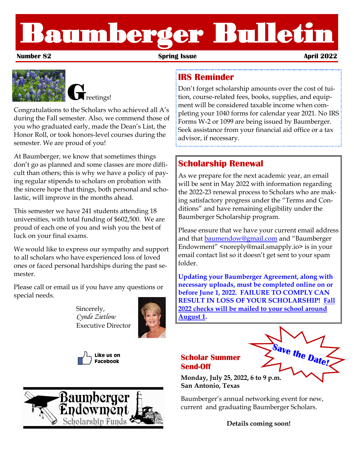# Baumberger Bulletin

**Number 82 Spring Issue April 2022**



Congratulations to the Scholars who achieved all A's during the Fall semester. Also, we commend those of you who graduated early, made the Dean's List, the Honor Roll, or took honors-level courses during the semester. We are proud of you!

At Baumberger, we know that sometimes things don't go as planned and some classes are more difficult than others; this is why we have a policy of paying regular stipends to scholars on probation with the sincere hope that things, both personal and scholastic, will improve in the months ahead.

This semester we have 241 students attending 18 universities, with total funding of \$602,500. We are proud of each one of you and wish you the best of luck on your final exams.

We would like to express our sympathy and support to all scholars who have experienced loss of loved ones or faced personal hardships during the past semester.

Please call or email us if you have any questions or special needs.

> Sincerely, *Cynde Zietlow* Executive Director







## **IRS Reminder**

Don't forget scholarship amounts over the cost of tuition, course-related fees, books, supplies, and equipment will be considered taxable income when completing your 1040 forms for calendar year 2021. No IRS Forms W-2 or 1099 are being issued by Baumberger. Seek assistance from your financial aid office or a tax advisor, if necessary.

# **Scholarship Renewal**

As we prepare for the next academic year, an email will be sent in May 2022 with information regarding the 2022-23 renewal process to Scholars who are making satisfactory progress under the "Terms and Conditions" and have remaining eligibility under the Baumberger Scholarship program.

Please ensure that we have your current email address and that [baumendow@gmail.com](mailto:baumendow@gmail.com) and "Baumberger Endowment" <noreply@mail.smapply.io> is in your email contact list so it doesn't get sent to your spam folder.

**Updating your Baumberger Agreement, along with necessary uploads, must be completed online on or before June 1, 2022. FAILURE TO COMPLY CAN RESULT IN LOSS OF YOUR SCHOLARSHIP! Fall 2022 checks will be mailed to your school around August 1.**

#### **Scholar Summer Send-Off**



**Monday, July 25, 2022, 6 to 9 p.m. San Antonio, Texas**

Baumberger's annual networking event for new, current and graduating Baumberger Scholars.

**Details coming soon!**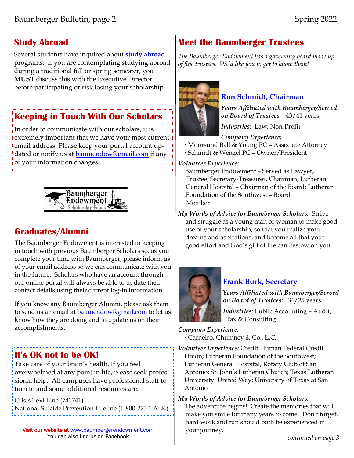# **Study Abroad**

Several students have inquired about **study abroad**  programs. If you are contemplating studying abroad during a traditional fall or spring semester, you **MUST** discuss this with the Executive Director before participating or risk losing your scholarship.

# **Keeping in Touch With Our Scholars**

In order to communicate with our scholars, it is extremely important that we have your most current email address. Please keep your portal account updated or notify us at **[baumendow@gmail.com](mailto:baumendow@gmail.com)** if any of your information changes.



# **Graduates/Alumni**

The Baumberger Endowment is interested in keeping in touch with previous Baumberger Scholars so, as you complete your time with Baumberger, please inform us of your email address so we can communicate with you in the future. Scholars who have an account through our online portal will always be able to update their contact details using their current log-in information.

If you know any Baumberger Alumni, please ask them to send us an email at [baumendow@gmail.com](mailto:baumendow@sbcglobal.net) to let us know how they are doing and to update us on their accomplishments.

# **It's OK not to be OK!**

Take care of your brain's health. If you feel overwhelmed at any point in life, please seek professional help. All campuses have professional staff to turn to and some additional resources are:

Crisis Text Line (741741) National Suicide Prevention Lifeline (1-800-273-TALK)

Visit our website at www.baumbergerendowment.com You can also find us on Facebook

# **Meet the Baumberger Trustees**

*The Baumberger Endowment has a governing board made up of five trustees. We'd like you to get to know them!* 



# **Ron Schmidt, Chairman**

*Years Affiliated with Baumberger/Served on Board of Trustees:* 43/41 years

*Industries:* Law; Non-Profit

*Company Experience:*

- Moursund Ball & Young PC Associate Attorney
- Schmidt & Wenzel PC Owner/President

*Volunteer Experience:* 

 Baumberger Endowment – Served as Lawyer, Trustee, Secretary-Treasurer, Chairman; Lutheran General Hospital – Chairman of the Board; Lutheran Foundation of the Southwest – Board Member

*My Words of Advice for Baumberger Scholars:* Strive and struggle as a young man or woman to make good use of your scholarship, so that you realize your dreams and aspirations, and become all that your good effort and God's gift of life can bestow on you!



### **Frank Burk, Secretary**

*Years Affiliated with Baumberger/Served on Board of Trustees:* 34/25 years

*Industries:* Public Accounting – Audit, Tax & Consulting

#### *Company Experience:* Carneiro, Chumney & Co., L.C.

*Volunteer Experience:* Credit Human Federal Credit Union; Lutheran Foundation of the Southwest; Lutheran General Hospital, Rotary Club of San Antonio; St. John's Lutheran Church; Texas Lutheran University; United Way; University of Texas at San Antonio

#### *My Words of Advice for Baumberger Scholars:*

 The adventure begins! Create the memories that will make you smile for many years to come. Don't forget, hard work and fun should both be experienced in your journey.